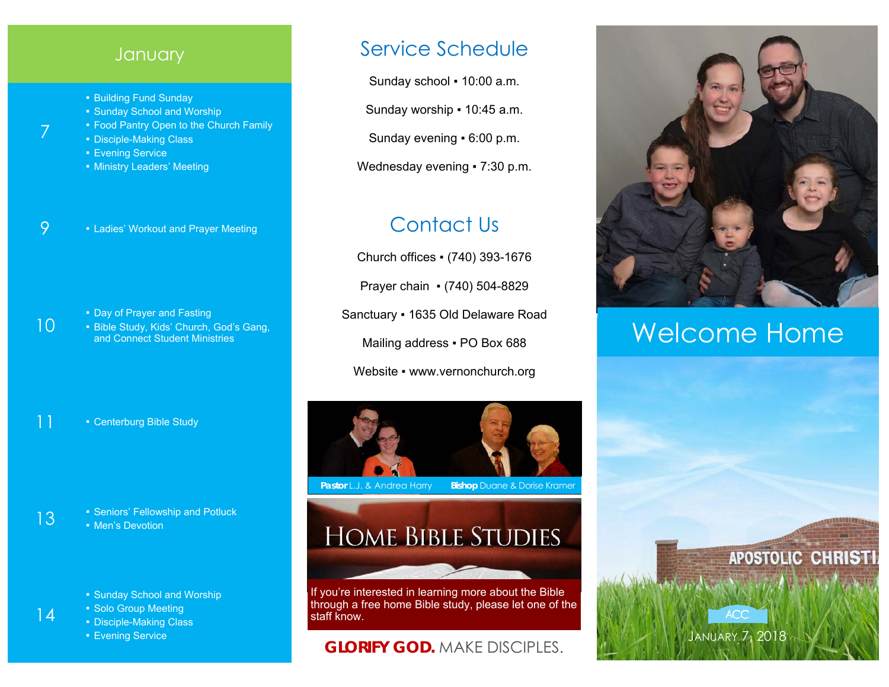#### **January**

- Building Fund Sunday
- Sunday School and Worship
- **Food Pantry Open to the Church Family**
- Disciple-Making Class
- Evening Service

7

10

- **Ministry Leaders' Meeting**
- 9  **Ladies' Workout and Prayer Meeting**

- Day of Prayer and Fasting
- Bible Study, Kids' Church, God's Gang, and Connect Student Ministries

11 • Centerburg Bible Study

- 13  **Seniors' Fellowship and Potluck** • Men's Devotion
	- Sunday School and Worship
	- Solo Group Meeting
	- Disciple-Making Class
	- Evening Service

### Service Schedule

Sunday school . 10:00 a.m.

Sunday worship ▪ 10:45 a.m.

Sunday evening ▪ 6:00 p.m.

Wednesday evening • 7:30 p.m.

# Contact Us

Church offices ▪ (740) 393-1676 Prayer chain ▪ (740) 504-8829 Sanctuary ▪ 1635 Old Delaware Road Mailing address . PO Box 688 Website • www.vernonchurch.org



**Pastor L.J. & Andrea Harry Bishop Duane & Dorise Kramer** 

# **HOME BIBLE STUDIES**

If you're interested in learning more about the Bible through a free home Bible study, please let one of the staff know.

#### **GLORIFY GOD.** MAKE DISCIPLES.



# Welcome Home

JANUARY 7, 2018

**ACC**